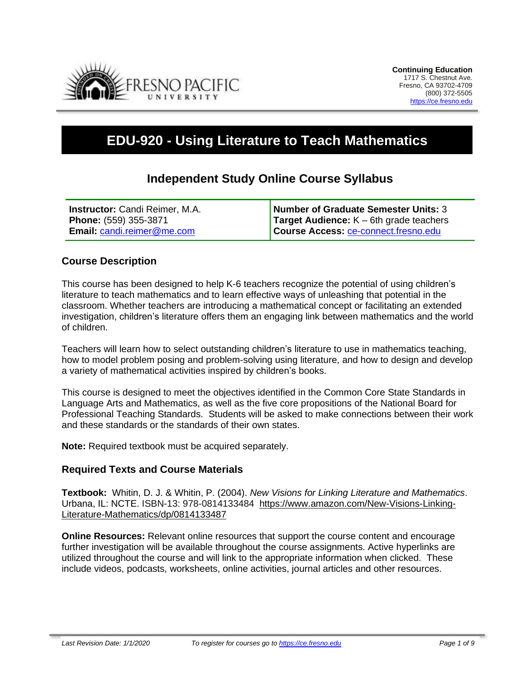

# **EDU-920 - Using Literature to Teach Mathematics**

# **Independent Study Online Course Syllabus**

| <b>Instructor:</b> Candi Reimer, M.A. | <b>Number of Graduate Semester Units: 3</b>       |
|---------------------------------------|---------------------------------------------------|
| <b>Phone: (559) 355-3871</b>          | <b>Target Audience:</b> $K - 6$ th grade teachers |
| <b>Email: candi.reimer@me.com</b>     | Course Access: ce-connect.fresno.edu              |

# **Course Description**

This course has been designed to help K-6 teachers recognize the potential of using children's literature to teach mathematics and to learn effective ways of unleashing that potential in the classroom. Whether teachers are introducing a mathematical concept or facilitating an extended investigation, children's literature offers them an engaging link between mathematics and the world of children.

Teachers will learn how to select outstanding children's literature to use in mathematics teaching, how to model problem posing and problem-solving using literature, and how to design and develop a variety of mathematical activities inspired by children's books.

This course is designed to meet the objectives identified in the Common Core State Standards in Language Arts and Mathematics, as well as the five core propositions of the National Board for Professional Teaching Standards. Students will be asked to make connections between their work and these standards or the standards of their own states.

**Note:** Required textbook must be acquired separately.

# **Required Texts and Course Materials**

**Textbook:** Whitin, D. J. & Whitin, P. (2004). *New Visions for Linking Literature and Mathematics*. Urbana, IL: NCTE. ISBN-13: 978-0814133484 [https://www.amazon.com/New-Visions-Linking-](https://www.amazon.com/New-Visions-Linking-Literature-Mathematics/dp/0814133487)[Literature-Mathematics/dp/0814133487](https://www.amazon.com/New-Visions-Linking-Literature-Mathematics/dp/0814133487)

**Online Resources:** Relevant online resources that support the course content and encourage further investigation will be available throughout the course assignments. Active hyperlinks are utilized throughout the course and will link to the appropriate information when clicked. These include videos, podcasts, worksheets, online activities, journal articles and other resources.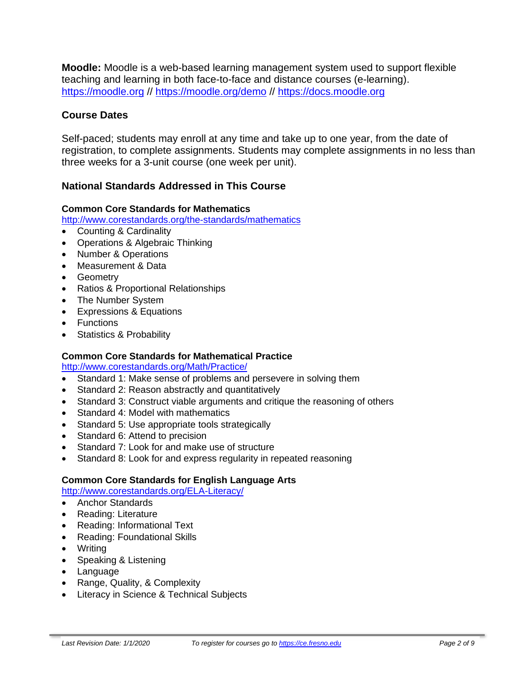**Moodle:** Moodle is a web-based learning management system used to support flexible teaching and learning in both face-to-face and distance courses (e-learning). [https://moodle.org](https://moodle.org/) // <https://moodle.org/demo> // [https://docs.moodle.org](https://docs.moodle.org/)

# **Course Dates**

Self-paced; students may enroll at any time and take up to one year, from the date of registration, to complete assignments. Students may complete assignments in no less than three weeks for a 3-unit course (one week per unit).

# **National Standards Addressed in This Course**

#### **Common Core Standards for Mathematics**

<http://www.corestandards.org/the-standards/mathematics>

- Counting & Cardinality
- Operations & Algebraic Thinking
- Number & Operations
- Measurement & Data
- Geometry
- Ratios & Proportional Relationships
- The Number System
- Expressions & Equations
- Functions
- Statistics & Probability

#### **Common Core Standards for Mathematical Practice**

<http://www.corestandards.org/Math/Practice/>

- Standard 1: Make sense of problems and persevere in solving them
- Standard 2: Reason abstractly and quantitatively
- Standard 3: Construct viable arguments and critique the reasoning of others
- Standard 4: Model with mathematics
- Standard 5: Use appropriate tools strategically
- Standard 6: Attend to precision
- Standard 7: Look for and make use of structure
- Standard 8: Look for and express regularity in repeated reasoning

# **Common Core Standards for English Language Arts**

<http://www.corestandards.org/ELA-Literacy/>

- Anchor Standards
- Reading: Literature
- Reading: Informational Text
- Reading: Foundational Skills
- Writing
- Speaking & Listening
- Language
- Range, Quality, & Complexity
- Literacy in Science & Technical Subjects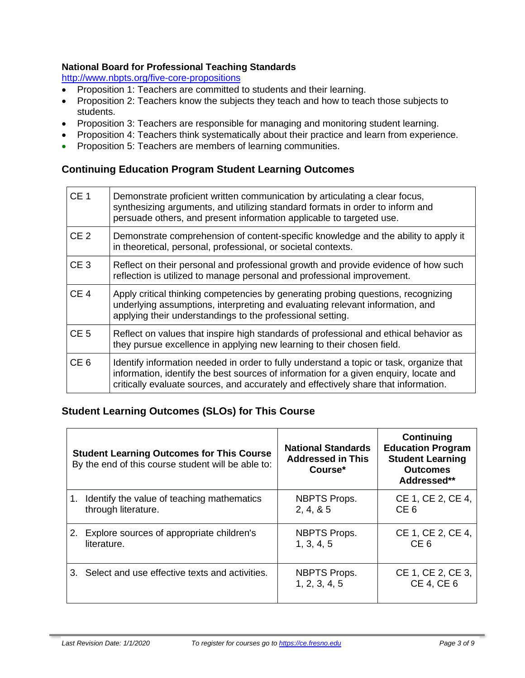#### **National Board for Professional Teaching Standards**

<http://www.nbpts.org/five-core-propositions>

- Proposition 1: Teachers are committed to students and their learning.
- Proposition 2: Teachers know the subjects they teach and how to teach those subjects to students.
- Proposition 3: Teachers are responsible for managing and monitoring student learning.
- Proposition 4: Teachers think systematically about their practice and learn from experience.
- Proposition 5: Teachers are members of learning communities.

# **Continuing Education Program Student Learning Outcomes**

| CE <sub>1</sub> | Demonstrate proficient written communication by articulating a clear focus,<br>synthesizing arguments, and utilizing standard formats in order to inform and<br>persuade others, and present information applicable to targeted use.                                    |
|-----------------|-------------------------------------------------------------------------------------------------------------------------------------------------------------------------------------------------------------------------------------------------------------------------|
| CE <sub>2</sub> | Demonstrate comprehension of content-specific knowledge and the ability to apply it<br>in theoretical, personal, professional, or societal contexts.                                                                                                                    |
| CE <sub>3</sub> | Reflect on their personal and professional growth and provide evidence of how such<br>reflection is utilized to manage personal and professional improvement.                                                                                                           |
| CE <sub>4</sub> | Apply critical thinking competencies by generating probing questions, recognizing<br>underlying assumptions, interpreting and evaluating relevant information, and<br>applying their understandings to the professional setting.                                        |
| CE <sub>5</sub> | Reflect on values that inspire high standards of professional and ethical behavior as<br>they pursue excellence in applying new learning to their chosen field.                                                                                                         |
| CE <sub>6</sub> | Identify information needed in order to fully understand a topic or task, organize that<br>information, identify the best sources of information for a given enquiry, locate and<br>critically evaluate sources, and accurately and effectively share that information. |

# **Student Learning Outcomes (SLOs) for This Course**

|    | <b>Student Learning Outcomes for This Course</b><br>By the end of this course student will be able to: | <b>National Standards</b><br><b>Addressed in This</b><br>Course* | <b>Continuing</b><br><b>Education Program</b><br><b>Student Learning</b><br><b>Outcomes</b><br>Addressed** |
|----|--------------------------------------------------------------------------------------------------------|------------------------------------------------------------------|------------------------------------------------------------------------------------------------------------|
|    | 1. Identify the value of teaching mathematics                                                          | <b>NBPTS Props.</b>                                              | CE 1, CE 2, CE 4,                                                                                          |
|    | through literature.                                                                                    | 2, 4, 8, 5                                                       | CE <sub>6</sub>                                                                                            |
| 2. | Explore sources of appropriate children's                                                              | <b>NBPTS Props.</b>                                              | CE 1, CE 2, CE 4,                                                                                          |
|    | literature.                                                                                            | 1, 3, 4, 5                                                       | CE <sub>6</sub>                                                                                            |
| 3. | Select and use effective texts and activities.                                                         | <b>NBPTS Props.</b><br>1, 2, 3, 4, 5                             | CE 1, CE 2, CE 3,<br><b>CE 4, CE 6</b>                                                                     |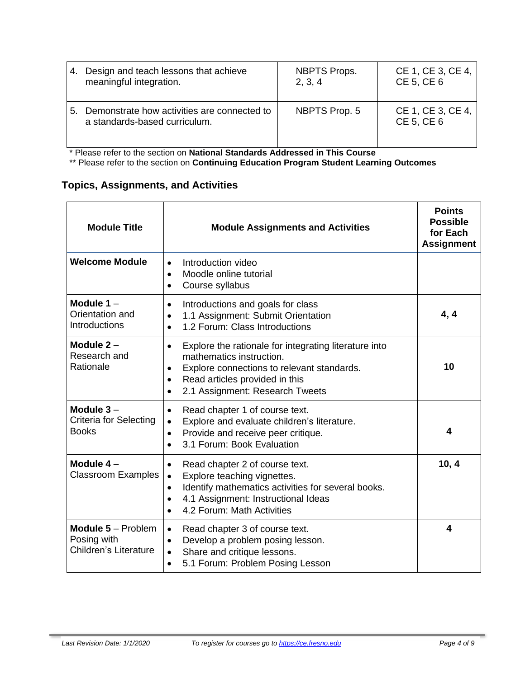| 4. | Design and teach lessons that achieve                                        | <b>NBPTS Props.</b> | CE 1, CE 3, CE 4,               |
|----|------------------------------------------------------------------------------|---------------------|---------------------------------|
|    | meaningful integration.                                                      | 2, 3, 4             | CE 5, CE 6                      |
| 5. | Demonstrate how activities are connected to<br>a standards-based curriculum. | NBPTS Prop. 5       | CE 1, CE 3, CE 4,<br>CE 5, CE 6 |

\* Please refer to the section on **National Standards Addressed in This Course**

\*\* Please refer to the section on **Continuing Education Program Student Learning Outcomes**

# **Topics, Assignments, and Activities**

| <b>Module Title</b>                                                      | <b>Points</b><br><b>Possible</b><br>for Each<br><b>Assignment</b>                                                                                                                                                                                         |       |
|--------------------------------------------------------------------------|-----------------------------------------------------------------------------------------------------------------------------------------------------------------------------------------------------------------------------------------------------------|-------|
| <b>Welcome Module</b>                                                    | Introduction video<br>$\bullet$<br>Moodle online tutorial<br>$\bullet$<br>Course syllabus<br>$\bullet$                                                                                                                                                    |       |
| Module $1 -$<br>Orientation and<br>Introductions                         | Introductions and goals for class<br>$\bullet$<br>1.1 Assignment: Submit Orientation<br>$\bullet$<br>1.2 Forum: Class Introductions<br>$\bullet$                                                                                                          | 4, 4  |
| Module $2 -$<br>Research and<br>Rationale                                | Explore the rationale for integrating literature into<br>$\bullet$<br>mathematics instruction.<br>Explore connections to relevant standards.<br>$\bullet$<br>Read articles provided in this<br>$\bullet$<br>2.1 Assignment: Research Tweets<br>$\bullet$  | 10    |
| Module $3-$<br><b>Criteria for Selecting</b><br><b>Books</b>             | Read chapter 1 of course text.<br>$\bullet$<br>Explore and evaluate children's literature.<br>$\bullet$<br>Provide and receive peer critique.<br>$\bullet$<br>3.1 Forum: Book Evaluation                                                                  | 4     |
| Module $4-$<br><b>Classroom Examples</b>                                 | Read chapter 2 of course text.<br>$\bullet$<br>Explore teaching vignettes.<br>$\bullet$<br>Identify mathematics activities for several books.<br>$\bullet$<br>4.1 Assignment: Instructional Ideas<br>$\bullet$<br>4.2 Forum: Math Activities<br>$\bullet$ | 10, 4 |
| <b>Module 5 - Problem</b><br>Posing with<br><b>Children's Literature</b> | Read chapter 3 of course text.<br>$\bullet$<br>Develop a problem posing lesson.<br>$\bullet$<br>Share and critique lessons.<br>$\bullet$<br>5.1 Forum: Problem Posing Lesson<br>$\bullet$                                                                 | 4     |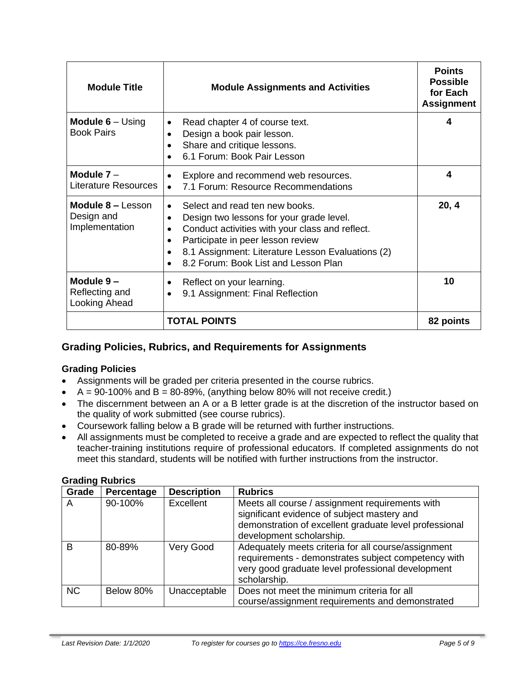| <b>Module Title</b>                               | <b>Module Assignments and Activities</b>                                                                                                                                                                                                                        | <b>Points</b><br><b>Possible</b><br>for Each<br><b>Assignment</b> |
|---------------------------------------------------|-----------------------------------------------------------------------------------------------------------------------------------------------------------------------------------------------------------------------------------------------------------------|-------------------------------------------------------------------|
| <b>Module 6</b> $-$ Using<br><b>Book Pairs</b>    | Read chapter 4 of course text.<br>Design a book pair lesson.<br>Share and critique lessons.<br>6.1 Forum: Book Pair Lesson                                                                                                                                      | 4                                                                 |
| Module $7 -$<br>Literature Resources              | Explore and recommend web resources.<br>7.1 Forum: Resource Recommendations                                                                                                                                                                                     | 4                                                                 |
| Module 8 - Lesson<br>Design and<br>Implementation | Select and read ten new books.<br>Design two lessons for your grade level.<br>Conduct activities with your class and reflect.<br>Participate in peer lesson review<br>8.1 Assignment: Literature Lesson Evaluations (2)<br>8.2 Forum: Book List and Lesson Plan | 20, 4                                                             |
| Module 9-<br>Reflecting and<br>Looking Ahead      | Reflect on your learning.<br>9.1 Assignment: Final Reflection                                                                                                                                                                                                   | 10                                                                |
|                                                   | <b>TOTAL POINTS</b>                                                                                                                                                                                                                                             | 82 points                                                         |

# **Grading Policies, Rubrics, and Requirements for Assignments**

#### **Grading Policies**

- Assignments will be graded per criteria presented in the course rubrics.
- $A = 90-100\%$  and  $B = 80-89\%$ , (anything below 80% will not receive credit.)
- The discernment between an A or a B letter grade is at the discretion of the instructor based on the quality of work submitted (see course rubrics).
- Coursework falling below a B grade will be returned with further instructions.
- All assignments must be completed to receive a grade and are expected to reflect the quality that teacher-training institutions require of professional educators. If completed assignments do not meet this standard, students will be notified with further instructions from the instructor.

#### **Grading Rubrics**

| Grade     | Percentage | <b>Description</b> | <b>Rubrics</b>                                                                                                                                                                       |
|-----------|------------|--------------------|--------------------------------------------------------------------------------------------------------------------------------------------------------------------------------------|
| A         | 90-100%    | Excellent          | Meets all course / assignment requirements with<br>significant evidence of subject mastery and<br>demonstration of excellent graduate level professional<br>development scholarship. |
| B         | 80-89%     | Very Good          | Adequately meets criteria for all course/assignment<br>requirements - demonstrates subject competency with<br>very good graduate level professional development<br>scholarship.      |
| <b>NC</b> | Below 80%  | Unacceptable       | Does not meet the minimum criteria for all<br>course/assignment requirements and demonstrated                                                                                        |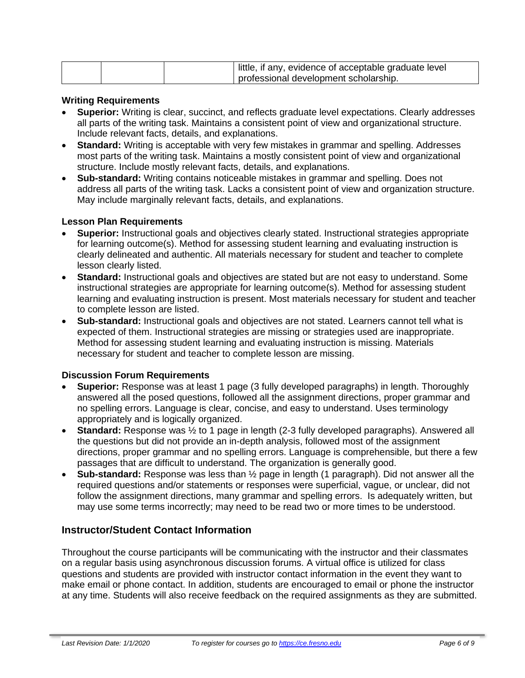|  | little, if any, evidence of acceptable graduate level |  |
|--|-------------------------------------------------------|--|
|  | professional development scholarship.                 |  |

#### **Writing Requirements**

- **Superior:** Writing is clear, succinct, and reflects graduate level expectations. Clearly addresses all parts of the writing task. Maintains a consistent point of view and organizational structure. Include relevant facts, details, and explanations.
- **Standard:** Writing is acceptable with very few mistakes in grammar and spelling. Addresses most parts of the writing task. Maintains a mostly consistent point of view and organizational structure. Include mostly relevant facts, details, and explanations.
- **Sub-standard:** Writing contains noticeable mistakes in grammar and spelling. Does not address all parts of the writing task. Lacks a consistent point of view and organization structure. May include marginally relevant facts, details, and explanations.

#### **Lesson Plan Requirements**

- **Superior:** Instructional goals and objectives clearly stated. Instructional strategies appropriate for learning outcome(s). Method for assessing student learning and evaluating instruction is clearly delineated and authentic. All materials necessary for student and teacher to complete lesson clearly listed.
- **Standard:** Instructional goals and objectives are stated but are not easy to understand. Some instructional strategies are appropriate for learning outcome(s). Method for assessing student learning and evaluating instruction is present. Most materials necessary for student and teacher to complete lesson are listed.
- **Sub-standard:** Instructional goals and objectives are not stated. Learners cannot tell what is expected of them. Instructional strategies are missing or strategies used are inappropriate. Method for assessing student learning and evaluating instruction is missing. Materials necessary for student and teacher to complete lesson are missing.

#### **Discussion Forum Requirements**

- **Superior:** Response was at least 1 page (3 fully developed paragraphs) in length. Thoroughly answered all the posed questions, followed all the assignment directions, proper grammar and no spelling errors. Language is clear, concise, and easy to understand. Uses terminology appropriately and is logically organized.
- **Standard:** Response was ½ to 1 page in length (2-3 fully developed paragraphs). Answered all the questions but did not provide an in-depth analysis, followed most of the assignment directions, proper grammar and no spelling errors. Language is comprehensible, but there a few passages that are difficult to understand. The organization is generally good.
- **Sub-standard:** Response was less than ½ page in length (1 paragraph). Did not answer all the required questions and/or statements or responses were superficial, vague, or unclear, did not follow the assignment directions, many grammar and spelling errors. Is adequately written, but may use some terms incorrectly; may need to be read two or more times to be understood.

#### **Instructor/Student Contact Information**

Throughout the course participants will be communicating with the instructor and their classmates on a regular basis using asynchronous discussion forums. A virtual office is utilized for class questions and students are provided with instructor contact information in the event they want to make email or phone contact. In addition, students are encouraged to email or phone the instructor at any time. Students will also receive feedback on the required assignments as they are submitted.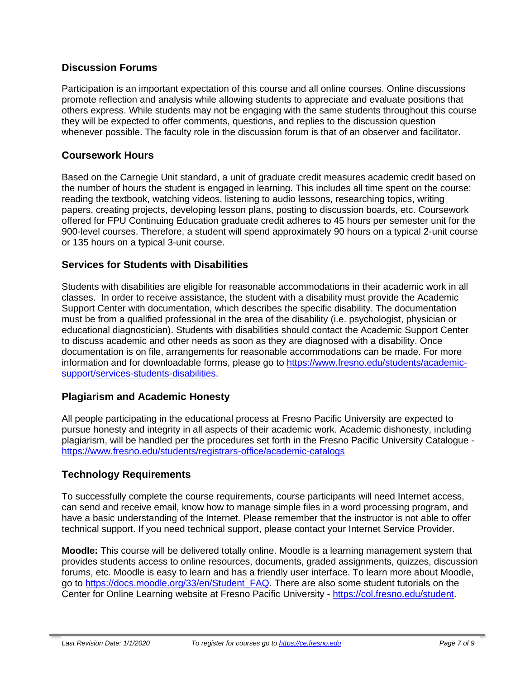# **Discussion Forums**

Participation is an important expectation of this course and all online courses. Online discussions promote reflection and analysis while allowing students to appreciate and evaluate positions that others express. While students may not be engaging with the same students throughout this course they will be expected to offer comments, questions, and replies to the discussion question whenever possible. The faculty role in the discussion forum is that of an observer and facilitator.

# **Coursework Hours**

Based on the Carnegie Unit standard, a unit of graduate credit measures academic credit based on the number of hours the student is engaged in learning. This includes all time spent on the course: reading the textbook, watching videos, listening to audio lessons, researching topics, writing papers, creating projects, developing lesson plans, posting to discussion boards, etc. Coursework offered for FPU Continuing Education graduate credit adheres to 45 hours per semester unit for the 900-level courses. Therefore, a student will spend approximately 90 hours on a typical 2-unit course or 135 hours on a typical 3-unit course.

# **Services for Students with Disabilities**

Students with disabilities are eligible for reasonable accommodations in their academic work in all classes. In order to receive assistance, the student with a disability must provide the Academic Support Center with documentation, which describes the specific disability. The documentation must be from a qualified professional in the area of the disability (i.e. psychologist, physician or educational diagnostician). Students with disabilities should contact the Academic Support Center to discuss academic and other needs as soon as they are diagnosed with a disability. Once documentation is on file, arrangements for reasonable accommodations can be made. For more information and for downloadable forms, please go to [https://www.fresno.edu/students/academic](https://www.fresno.edu/students/academic-support/services-students-disabilities)[support/services-students-disabilities.](https://www.fresno.edu/students/academic-support/services-students-disabilities)

# **Plagiarism and Academic Honesty**

All people participating in the educational process at Fresno Pacific University are expected to pursue honesty and integrity in all aspects of their academic work. Academic dishonesty, including plagiarism, will be handled per the procedures set forth in the Fresno Pacific University Catalogue <https://www.fresno.edu/students/registrars-office/academic-catalogs>

# **Technology Requirements**

To successfully complete the course requirements, course participants will need Internet access, can send and receive email, know how to manage simple files in a word processing program, and have a basic understanding of the Internet. Please remember that the instructor is not able to offer technical support. If you need technical support, please contact your Internet Service Provider.

**Moodle:** This course will be delivered totally online. Moodle is a learning management system that provides students access to online resources, documents, graded assignments, quizzes, discussion forums, etc. Moodle is easy to learn and has a friendly user interface. To learn more about Moodle, go to [https://docs.moodle.org/33/en/Student\\_FAQ.](https://docs.moodle.org/33/en/Student_FAQ) There are also some student tutorials on the Center for Online Learning website at Fresno Pacific University - [https://col.fresno.edu/student.](https://col.fresno.edu/student)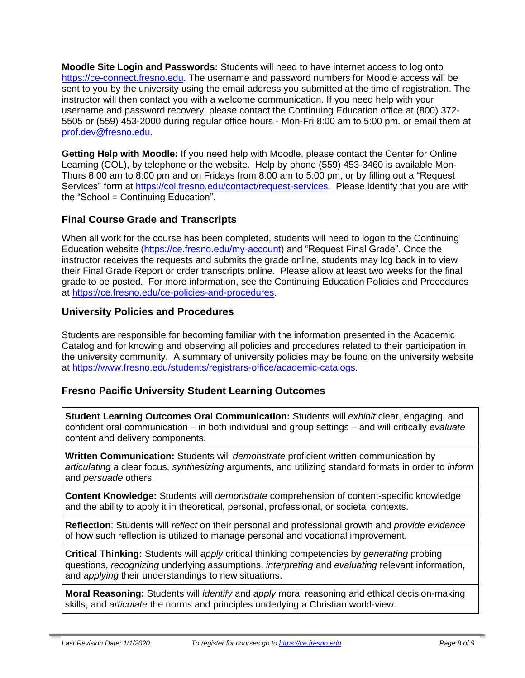**Moodle Site Login and Passwords:** Students will need to have internet access to log onto [https://ce-connect.fresno.edu.](https://ce-connect.fresno.edu/) The username and password numbers for Moodle access will be sent to you by the university using the email address you submitted at the time of registration. The instructor will then contact you with a welcome communication. If you need help with your username and password recovery, please contact the Continuing Education office at (800) 372- 5505 or (559) 453-2000 during regular office hours - Mon-Fri 8:00 am to 5:00 pm. or email them at [prof.dev@fresno.edu.](mailto:prof.dev@fresno.edu)

**Getting Help with Moodle:** If you need help with Moodle, please contact the Center for Online Learning (COL), by telephone or the website. Help by phone (559) 453-3460 is available Mon-Thurs 8:00 am to 8:00 pm and on Fridays from 8:00 am to 5:00 pm, or by filling out a "Request Services" form at [https://col.fresno.edu/contact/request-services.](https://col.fresno.edu/contact/request-services) Please identify that you are with the "School = Continuing Education".

# **Final Course Grade and Transcripts**

When all work for the course has been completed, students will need to logon to the Continuing Education website [\(https://ce.fresno.edu/my-account\)](https://ce.fresno.edu/my-account) and "Request Final Grade". Once the instructor receives the requests and submits the grade online, students may log back in to view their Final Grade Report or order transcripts online. Please allow at least two weeks for the final grade to be posted. For more information, see the Continuing Education Policies and Procedures at [https://ce.fresno.edu/ce-policies-and-procedures.](https://ce.fresno.edu/ce-policies-and-procedures)

# **University Policies and Procedures**

Students are responsible for becoming familiar with the information presented in the Academic Catalog and for knowing and observing all policies and procedures related to their participation in the university community. A summary of university policies may be found on the university website at [https://www.fresno.edu/students/registrars-office/academic-catalogs.](https://www.fresno.edu/students/registrars-office/academic-catalogs)

# **Fresno Pacific University Student Learning Outcomes**

**Student Learning Outcomes Oral Communication:** Students will *exhibit* clear, engaging, and confident oral communication – in both individual and group settings – and will critically *evaluate* content and delivery components.

**Written Communication:** Students will *demonstrate* proficient written communication by *articulating* a clear focus, *synthesizing* arguments, and utilizing standard formats in order to *inform* and *persuade* others.

**Content Knowledge:** Students will *demonstrate* comprehension of content-specific knowledge and the ability to apply it in theoretical, personal, professional, or societal contexts.

**Reflection**: Students will *reflect* on their personal and professional growth and *provide evidence* of how such reflection is utilized to manage personal and vocational improvement.

**Critical Thinking:** Students will *apply* critical thinking competencies by *generating* probing questions, *recognizing* underlying assumptions, *interpreting* and *evaluating* relevant information, and *applying* their understandings to new situations.

**Moral Reasoning:** Students will *identify* and *apply* moral reasoning and ethical decision-making skills, and *articulate* the norms and principles underlying a Christian world-view.